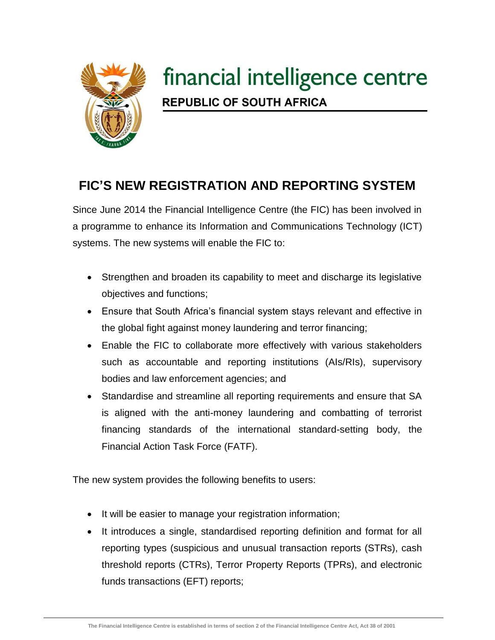

## financial intelligence centre **REPUBLIC OF SOUTH AFRICA**

## **FIC'S NEW REGISTRATION AND REPORTING SYSTEM**

Since June 2014 the Financial Intelligence Centre (the FIC) has been involved in a programme to enhance its Information and Communications Technology (ICT) systems. The new systems will enable the FIC to:

- Strengthen and broaden its capability to meet and discharge its legislative objectives and functions;
- Ensure that South Africa's financial system stays relevant and effective in the global fight against money laundering and terror financing;
- Enable the FIC to collaborate more effectively with various stakeholders such as accountable and reporting institutions (AIs/RIs), supervisory bodies and law enforcement agencies; and
- Standardise and streamline all reporting requirements and ensure that SA is aligned with the anti-money laundering and combatting of terrorist financing standards of the international standard-setting body, the Financial Action Task Force (FATF).

The new system provides the following benefits to users:

- It will be easier to manage your registration information;
- It introduces a single, standardised reporting definition and format for all reporting types (suspicious and unusual transaction reports (STRs), cash threshold reports (CTRs), Terror Property Reports (TPRs), and electronic funds transactions (EFT) reports;